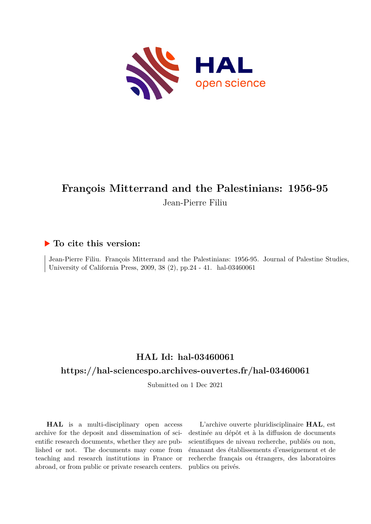

# **François Mitterrand and the Palestinians: 1956-95** Jean-Pierre Filiu

## **To cite this version:**

Jean-Pierre Filiu. François Mitterrand and the Palestinians: 1956-95. Journal of Palestine Studies, University of California Press,  $2009, 38$  (2), pp.24 - 41. hal-03460061

## **HAL Id: hal-03460061 <https://hal-sciencespo.archives-ouvertes.fr/hal-03460061>**

Submitted on 1 Dec 2021

**HAL** is a multi-disciplinary open access archive for the deposit and dissemination of scientific research documents, whether they are published or not. The documents may come from teaching and research institutions in France or abroad, or from public or private research centers.

L'archive ouverte pluridisciplinaire **HAL**, est destinée au dépôt et à la diffusion de documents scientifiques de niveau recherche, publiés ou non, émanant des établissements d'enseignement et de recherche français ou étrangers, des laboratoires publics ou privés.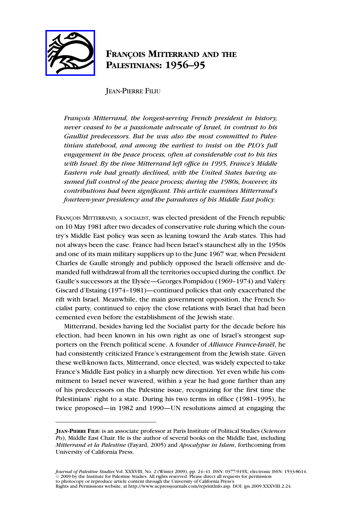

## **FRANCOIS MITTERRAND AND THE PALESTINIANS: 1956–95**

JEAN-PIERRE FILIU

*François Mitterrand, the longest-serving French president in history, never ceased to be a passionate advocate of Israel, in contrast to his Gaullist predecessors. But he was also the most committed to Palestinian statehood, and among the earliest to insist on the PLO's full engagement in the peace process, often at considerable cost to his ties with Israel. By the time Mitterrand left office in 1995, France's Middle Eastern role had greatly declined, with the United States having assumed full control of the peace process; during the 1980s, however, its contributions had been significant. This article examines Mitterrand's fourteen-year presidency and the paradoxes of his Middle East policy.*

FRANÇOIS MITTERRAND, A SOCIALIST, was elected president of the French republic on 10 May 1981 after two decades of conservative rule during which the country's Middle East policy was seen as leaning toward the Arab states. This had not always been the case. France had been Israel's staunchest ally in the 1950s and one of its main military suppliers up to the June 1967 war, when President Charles de Gaulle strongly and publicly opposed the Israeli offensive and demanded full withdrawal from all the territories occupied during the conflict. De Gaulle's successors at the Elysée—Georges Pompidou (1969–1974) and Valéry Giscard d'Estaing (1974–1981)—continued policies that only exacerbated the rift with Israel. Meanwhile, the main government opposition, the French Socialist party, continued to enjoy the close relations with Israel that had been cemented even before the establishment of the Jewish state.

Mitterrand, besides having led the Socialist party for the decade before his election, had been known in his own right as one of Israel's strongest supporters on the French political scene. A founder of *Alliance France-Israël*, he had consistently criticized France's estrangement from the Jewish state. Given these well-known facts, Mitterrand, once elected, was widely expected to take France's Middle East policy in a sharply new direction. Yet even while his commitment to Israel never wavered, within a year he had gone farther than any of his predecessors on the Palestine issue, recognizing for the first time the Palestinians' right to a state. During his two terms in office (1981–1995), he twice proposed—in 1982 and 1990—UN resolutions aimed at engaging the

**JEAN-PIERRE FILIU** is an associate professor at Paris Institute of Political Studies (*Sciences Po*), Middle East Chair. He is the author of several books on the Middle East, including *Mitterrand et la Palestine* (Fayard, 2005) and *Apocalypse in Islam*, forthcoming from University of California Press.

*Journal of Palestine Studies* Vol. XXXVIII, No. 2 (Winter 2009), pp. 24–41 ISSN: 0377-919X; electronic ISSN: 1533-8614.  $\odot$  2009 by the Institute for Palestine Studies. All rights reserved. Please direct all requests for permission to photocopy or reproduce article content through the University of California Press's

Rights and Permissions website, at http://www.ucpressjournals.com/reprintInfo.asp. DOI: jps.2009.XXXVIII.2.24.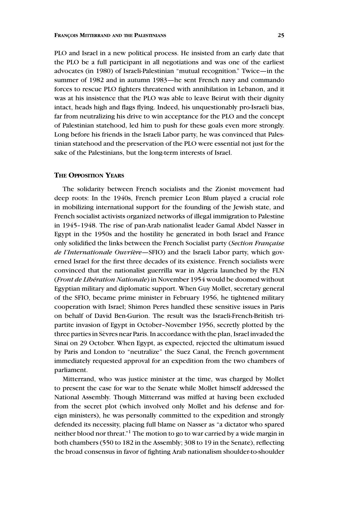PLO and Israel in a new political process. He insisted from an early date that the PLO be a full participant in all negotiations and was one of the earliest advocates (in 1980) of Israeli-Palestinian "mutual recognition." Twice—in the summer of 1982 and in autumn 1983—he sent French navy and commando forces to rescue PLO fighters threatened with annihilation in Lebanon, and it was at his insistence that the PLO was able to leave Beirut with their dignity intact, heads high and flags flying. Indeed, his unquestionably pro-Israeli bias, far from neutralizing his drive to win acceptance for the PLO and the concept of Palestinian statehood, led him to push for these goals even more strongly. Long before his friends in the Israeli Labor party, he was convinced that Palestinian statehood and the preservation of the PLO were essential not just for the sake of the Palestinians, but the long-term interests of Israel.

#### **THE OPPOSITION YEARS**

The solidarity between French socialists and the Zionist movement had deep roots: In the 1940s, French premier Leon Blum played a crucial role in mobilizing international support for the founding of the Jewish state, and French socialist activists organized networks of illegal immigration to Palestine in 1945–1948. The rise of pan-Arab nationalist leader Gamal Abdel Nasser in Egypt in the 1950s and the hostility he generated in both Israel and France only solidified the links between the French Socialist party (*Section Française de l'Internationale Ouvrière*—SFIO) and the Israeli Labor party, which governed Israel for the first three decades of its existence. French socialists were convinced that the nationalist guerrilla war in Algeria launched by the FLN (*Front de Lib´eration Nationale*) in November 1954 would be doomed without Egyptian military and diplomatic support. When Guy Mollet, secretary general of the SFIO, became prime minister in February 1956, he tightened military cooperation with Israel; Shimon Peres handled these sensitive issues in Paris on behalf of David Ben-Gurion. The result was the Israeli-French-British tripartite invasion of Egypt in October–November 1956, secretly plotted by the three parties in Sèvres near Paris. In accordance with the plan, Israel invaded the Sinai on 29 October. When Egypt, as expected, rejected the ultimatum issued by Paris and London to "neutralize" the Suez Canal, the French government immediately requested approval for an expedition from the two chambers of parliament.

Mitterrand, who was justice minister at the time, was charged by Mollet to present the case for war to the Senate while Mollet himself addressed the National Assembly. Though Mitterrand was miffed at having been excluded from the secret plot (which involved only Mollet and his defense and foreign ministers), he was personally committed to the expedition and strongly defended its necessity, placing full blame on Nasser as "a dictator who spared neither blood nor threat."<sup>1</sup> The motion to go to war carried by a wide margin in both chambers (550 to 182 in the Assembly; 308 to 19 in the Senate), reflecting the broad consensus in favor of fighting Arab nationalism shoulder-to-shoulder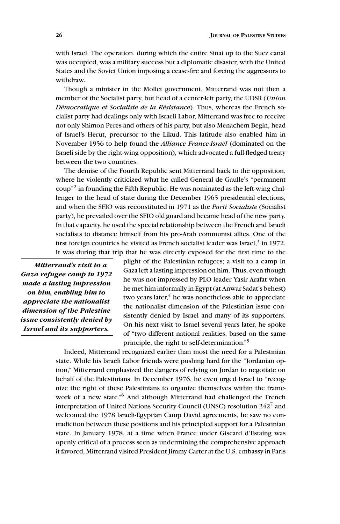with Israel. The operation, during which the entire Sinai up to the Suez canal was occupied, was a military success but a diplomatic disaster, with the United States and the Soviet Union imposing a cease-fire and forcing the aggressors to withdraw.

Though a minister in the Mollet government, Mitterrand was not then a member of the Socialist party, but head of a center-left party, the UDSR (*Union Démocratique et Socialiste de la Résistance*). Thus, whereas the French socialist party had dealings only with Israeli Labor, Mitterrand was free to receive not only Shimon Peres and others of his party, but also Menachem Begin, head of Israel's Herut, precursor to the Likud. This latitude also enabled him in November 1956 to help found the *Alliance France-Israël* (dominated on the Israeli side by the right-wing opposition), which advocated a full-fledged treaty between the two countries.

The demise of the Fourth Republic sent Mitterrand back to the opposition, where he violently criticized what he called General de Gaulle's "permanent  $\text{coup}^2$  in founding the Fifth Republic. He was nominated as the left-wing challenger to the head of state during the December 1965 presidential elections, and when the SFIO was reconstituted in 1971 as the *Parti Socialiste* (Socialist party), he prevailed over the SFIO old guard and became head of the new party. In that capacity, he used the special relationship between the French and Israeli socialists to distance himself from his pro-Arab communist allies. One of the first foreign countries he visited as French socialist leader was Israel,<sup>3</sup> in 1972. It was during that trip that he was directly exposed for the first time to the

*Mitterrand's visit to a Gaza refugee camp in 1972 made a lasting impression on him, enabling him to appreciate the nationalist dimension of the Palestine issue consistently denied by Israel and its supporters.*

plight of the Palestinian refugees; a visit to a camp in Gaza left a lasting impression on him. Thus, even though he was not impressed by PLO leader Yasir Arafat when he met him informally in Egypt (at Anwar Sadat's behest) two years later, $4$  he was nonetheless able to appreciate the nationalist dimension of the Palestinian issue consistently denied by Israel and many of its supporters. On his next visit to Israel several years later, he spoke of "two different national realities, based on the same principle, the right to self-determination."<sup>5</sup>

Indeed, Mitterrand recognized earlier than most the need for a Palestinian state. While his Israeli Labor friends were pushing hard for the "Jordanian option," Mitterrand emphasized the dangers of relying on Jordan to negotiate on behalf of the Palestinians. In December 1976, he even urged Israel to "recognize the right of these Palestinians to organize themselves within the framework of a new state."<sup>6</sup> And although Mitterrand had challenged the French interpretation of United Nations Security Council (UNSC) resolution 2427 and welcomed the 1978 Israeli-Egyptian Camp David agreements, he saw no contradiction between these positions and his principled support for a Palestinian state. In January 1978, at a time when France under Giscard d'Estaing was openly critical of a process seen as undermining the comprehensive approach it favored, Mitterrand visited President Jimmy Carter at the U.S. embassy in Paris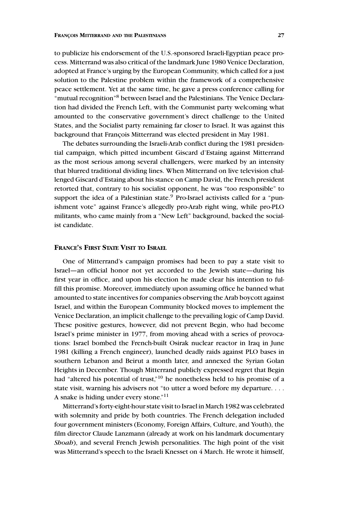to publicize his endorsement of the U.S.-sponsored Israeli-Egyptian peace process. Mitterrand was also critical of the landmark June 1980 Venice Declaration, adopted at France's urging by the European Community, which called for a just solution to the Palestine problem within the framework of a comprehensive peace settlement. Yet at the same time, he gave a press conference calling for "mutual recognition"8 between Israel and the Palestinians. The Venice Declaration had divided the French Left, with the Communist party welcoming what amounted to the conservative government's direct challenge to the United States, and the Socialist party remaining far closer to Israel. It was against this background that François Mitterrand was elected president in May 1981.

The debates surrounding the Israeli-Arab conflict during the 1981 presidential campaign, which pitted incumbent Giscard d'Estaing against Mitterrand as the most serious among several challengers, were marked by an intensity that blurred traditional dividing lines. When Mitterrand on live television challenged Giscard d'Estaing about his stance on Camp David, the French president retorted that, contrary to his socialist opponent, he was "too responsible" to support the idea of a Palestinian state.<sup>9</sup> Pro-Israel activists called for a "punishment vote" against France's allegedly pro-Arab right wing, while pro-PLO militants, who came mainly from a "New Left" background, backed the socialist candidate.

#### **FRANCE'S FIRST STATE VISIT TO ISRAEL**

One of Mitterrand's campaign promises had been to pay a state visit to Israel—an official honor not yet accorded to the Jewish state—during his first year in office, and upon his election he made clear his intention to fulfill this promise. Moreover, immediately upon assuming office he banned what amounted to state incentives for companies observing the Arab boycott against Israel, and within the European Community blocked moves to implement the Venice Declaration, an implicit challenge to the prevailing logic of Camp David. These positive gestures, however, did not prevent Begin, who had become Israel's prime minister in 1977, from moving ahead with a series of provocations: Israel bombed the French-built Osirak nuclear reactor in Iraq in June 1981 (killing a French engineer), launched deadly raids against PLO bases in southern Lebanon and Beirut a month later, and annexed the Syrian Golan Heights in December. Though Mitterrand publicly expressed regret that Begin had "altered his potential of trust,"<sup>10</sup> he nonetheless held to his promise of a state visit, warning his advisers not "to utter a word before my departure. . . . A snake is hiding under every stone.<sup>"11</sup>

Mitterrand's forty-eight-hour state visit to Israel in March 1982 was celebrated with solemnity and pride by both countries. The French delegation included four government ministers (Economy, Foreign Affairs, Culture, and Youth), the film director Claude Lanzmann (already at work on his landmark documentary *Shoah*), and several French Jewish personalities. The high point of the visit was Mitterrand's speech to the Israeli Knesset on 4 March. He wrote it himself,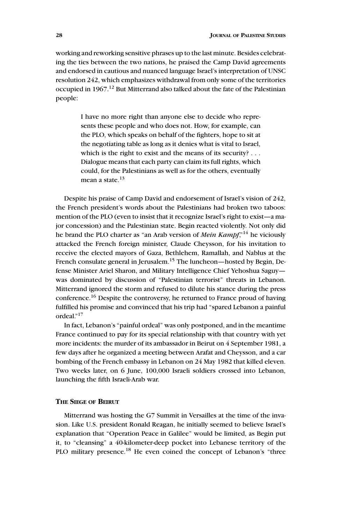working and reworking sensitive phrases up to the last minute. Besides celebrating the ties between the two nations, he praised the Camp David agreements and endorsed in cautious and nuanced language Israel's interpretation of UNSC resolution 242, which emphasizes withdrawal from only some of the territories occupied in  $1967<sup>12</sup>$  But Mitterrand also talked about the fate of the Palestinian people:

> I have no more right than anyone else to decide who represents these people and who does not. How, for example, can the PLO, which speaks on behalf of the fighters, hope to sit at the negotiating table as long as it denies what is vital to Israel, which is the right to exist and the means of its security?... Dialogue means that each party can claim its full rights, which could, for the Palestinians as well as for the others, eventually mean a state.<sup>13</sup>

Despite his praise of Camp David and endorsement of Israel's vision of 242, the French president's words about the Palestinians had broken two taboos: mention of the PLO (even to insist that it recognize Israel's right to exist—a major concession) and the Palestinian state. Begin reacted violently. Not only did he brand the PLO charter as "an Arab version of *Mein Kampf*,"<sup>14</sup> he viciously attacked the French foreign minister, Claude Cheysson, for his invitation to receive the elected mayors of Gaza, Bethlehem, Ramallah, and Nablus at the French consulate general in Jerusalem.<sup>15</sup> The luncheon—hosted by Begin, Defense Minister Ariel Sharon, and Military Intelligence Chief Yehoshua Saguy was dominated by discussion of "Palestinian terrorist" threats in Lebanon. Mitterrand ignored the storm and refused to dilute his stance during the press conference.<sup>16</sup> Despite the controversy, he returned to France proud of having fulfilled his promise and convinced that his trip had "spared Lebanon a painful ordeal."<sup>17</sup>

In fact, Lebanon's "painful ordeal" was only postponed, and in the meantime France continued to pay for its special relationship with that country with yet more incidents: the murder of its ambassador in Beirut on 4 September 1981, a few days after he organized a meeting between Arafat and Cheysson, and a car bombing of the French embassy in Lebanon on 24 May 1982 that killed eleven. Two weeks later, on 6 June, 100,000 Israeli soldiers crossed into Lebanon, launching the fifth Israeli-Arab war.

#### **THE SIEGE OF BEIRUT**

Mitterrand was hosting the G7 Summit in Versailles at the time of the invasion. Like U.S. president Ronald Reagan, he initially seemed to believe Israel's explanation that "Operation Peace in Galilee" would be limited, as Begin put it, to "cleansing" a 40-kilometer-deep pocket into Lebanese territory of the PLO military presence.18 He even coined the concept of Lebanon's "three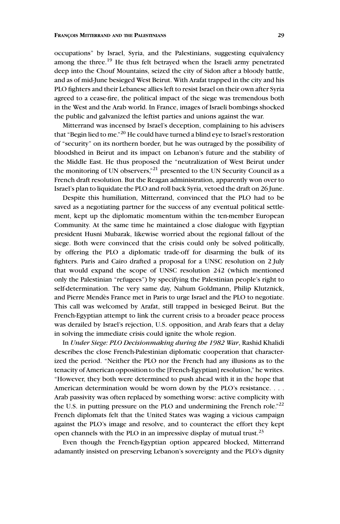occupations" by Israel, Syria, and the Palestinians, suggesting equivalency among the three.<sup>19</sup> He thus felt betrayed when the Israeli army penetrated deep into the Chouf Mountains, seized the city of Sidon after a bloody battle, and as of mid-June besieged West Beirut. With Arafat trapped in the city and his PLO fighters and their Lebanese allies left to resist Israel on their own after Syria agreed to a cease-fire, the political impact of the siege was tremendous both in the West and the Arab world. In France, images of Israeli bombings shocked the public and galvanized the leftist parties and unions against the war.

Mitterrand was incensed by Israel's deception, complaining to his advisers that "Begin lied to me."<sup>20</sup> He could have turned a blind eye to Israel's restoration of "security" on its northern border, but he was outraged by the possibility of bloodshed in Beirut and its impact on Lebanon's future and the stability of the Middle East. He thus proposed the "neutralization of West Beirut under the monitoring of UN observers, $n^{21}$  presented to the UN Security Council as a French draft resolution. But the Reagan administration, apparently won over to Israel's plan to liquidate the PLO and roll back Syria, vetoed the draft on 26 June.

Despite this humiliation, Mitterrand, convinced that the PLO had to be saved as a negotiating partner for the success of any eventual political settlement, kept up the diplomatic momentum within the ten-member European Community. At the same time he maintained a close dialogue with Egyptian president Husni Mubarak, likewise worried about the regional fallout of the siege. Both were convinced that the crisis could only be solved politically, by offering the PLO a diplomatic trade-off for disarming the bulk of its fighters. Paris and Cairo drafted a proposal for a UNSC resolution on 2 July that would expand the scope of UNSC resolution 242 (which mentioned only the Palestinian "refugees") by specifying the Palestinian people's right to self-determination. The very same day, Nahum Goldmann, Philip Klutznick, and Pierre Mend`es France met in Paris to urge Israel and the PLO to negotiate. This call was welcomed by Arafat, still trapped in besieged Beirut. But the French-Egyptian attempt to link the current crisis to a broader peace process was derailed by Israel's rejection, U.S. opposition, and Arab fears that a delay in solving the immediate crisis could ignite the whole region.

In *Under Siege: PLO Decisionmaking during the 1982 War*, Rashid Khalidi describes the close French-Palestinian diplomatic cooperation that characterized the period. "Neither the PLO nor the French had any illusions as to the tenacity of American opposition to the [French-Egyptian] resolution," he writes. "However, they both were determined to push ahead with it in the hope that American determination would be worn down by the PLO's resistance. . . . Arab passivity was often replaced by something worse: active complicity with the U.S. in putting pressure on the PLO and undermining the French role.<sup>22</sup> French diplomats felt that the United States was waging a vicious campaign against the PLO's image and resolve, and to counteract the effort they kept open channels with the PLO in an impressive display of mutual trust.<sup>23</sup>

Even though the French-Egyptian option appeared blocked, Mitterrand adamantly insisted on preserving Lebanon's sovereignty and the PLO's dignity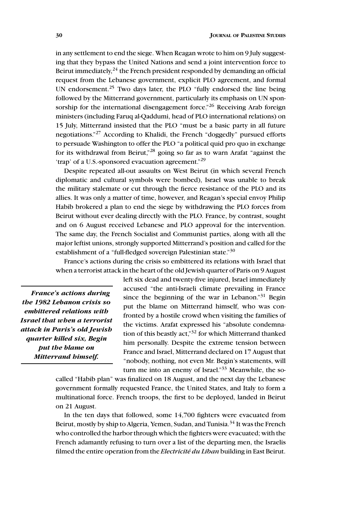in any settlement to end the siege. When Reagan wrote to him on 9 July suggesting that they bypass the United Nations and send a joint intervention force to Beirut immediately,  $24$  the French president responded by demanding an official request from the Lebanese government, explicit PLO agreement, and formal UN endorsement.<sup>25</sup> Two days later, the PLO "fully endorsed the line being followed by the Mitterrand government, particularly its emphasis on UN sponsorship for the international disengagement force.<sup> $26$ </sup> Receiving Arab foreign ministers (including Faruq al-Qaddumi, head of PLO international relations) on 15 July, Mitterrand insisted that the PLO "must be a basic party in all future negotiations."27 According to Khalidi, the French "doggedly" pursued efforts to persuade Washington to offer the PLO "a political quid pro quo in exchange for its withdrawal from Beirut,"<sup>28</sup> going so far as to warn Arafat "against the 'trap' of a U.S.-sponsored evacuation agreement."29

Despite repeated all-out assaults on West Beirut (in which several French diplomatic and cultural symbols were bombed), Israel was unable to break the military stalemate or cut through the fierce resistance of the PLO and its allies. It was only a matter of time, however, and Reagan's special envoy Philip Habib brokered a plan to end the siege by withdrawing the PLO forces from Beirut without ever dealing directly with the PLO. France, by contrast, sought and on 6 August received Lebanese and PLO approval for the intervention. The same day, the French Socialist and Communist parties, along with all the major leftist unions, strongly supported Mitterrand's position and called for the establishment of a "full-fledged sovereign Palestinian state."<sup>30</sup>

France's actions during the crisis so embittered its relations with Israel that when a terrorist attack in the heart of the old Jewish quarter of Paris on 9 August

*France's actions during the 1982 Lebanon crisis so embittered relations with Israel that when a terrorist attack in Paris's old Jewish quarter killed six, Begin put the blame on Mitterrand himself.*

left six dead and twenty-five injured, Israel immediately accused "the anti-Israeli climate prevailing in France since the beginning of the war in Lebanon."<sup>31</sup> Begin put the blame on Mitterrand himself, who was confronted by a hostile crowd when visiting the families of the victims. Arafat expressed his "absolute condemnation of this beastly act,"32 for which Mitterrand thanked him personally. Despite the extreme tension between France and Israel, Mitterrand declared on 17 August that "nobody, nothing, not even Mr. Begin's statements, will turn me into an enemy of Israel." $33$  Meanwhile, the so-

called "Habib plan" was finalized on 18 August, and the next day the Lebanese government formally requested France, the United States, and Italy to form a multinational force. French troops, the first to be deployed, landed in Beirut on 21 August.

In the ten days that followed, some 14,700 fighters were evacuated from Beirut, mostly by ship to Algeria, Yemen, Sudan, and Tunisia. $34$  It was the French who controlled the harbor through which the fighters were evacuated; with the French adamantly refusing to turn over a list of the departing men, the Israelis filmed the entire operation from the *Electricité du Liban* building in East Beirut.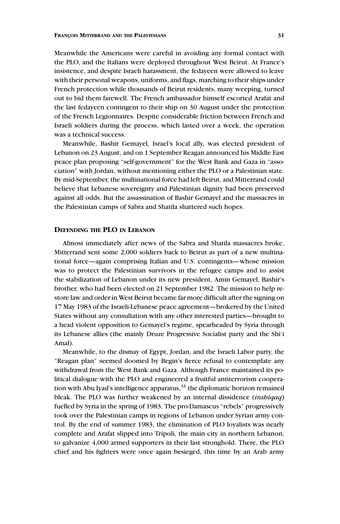Meanwhile the Americans were careful in avoiding any formal contact with the PLO, and the Italians were deployed throughout West Beirut. At France's insistence, and despite Israeli harassment, the fedayeen were allowed to leave with their personal weapons, uniforms, and flags, marching to their ships under French protection while thousands of Beirut residents, many weeping, turned out to bid them farewell. The French ambassador himself escorted Arafat and the last fedayeen contingent to their ship on 30 August under the protection of the French Legionnaires. Despite considerable friction between French and Israeli soldiers during the process, which lasted over a week, the operation was a technical success.

Meanwhile, Bashir Gemayel, Israel's local ally, was elected president of Lebanon on 23 August, and on 1 September Reagan announced his Middle East peace plan proposing "self-government" for the West Bank and Gaza in "association" with Jordan, without mentioning either the PLO or a Palestinian state. By mid-September, the multinational force had left Beirut, and Mitterrand could believe that Lebanese sovereignty and Palestinian dignity had been preserved against all odds. But the assassination of Bashir Gemayel and the massacres in the Palestinian camps of Sabra and Shatila shattered such hopes.

#### **DEFENDING THE PLO IN LEBANON**

Almost immediately after news of the Sabra and Shatila massacres broke, Mitterrand sent some 2,000 soldiers back to Beirut as part of a new multinational force—again comprising Italian and U.S. contingents—whose mission was to protect the Palestinian survivors in the refugee camps and to assist the stabilization of Lebanon under its new president, Amin Gemayel, Bashir's brother, who had been elected on 21 September 1982. The mission to help restore law and order in West Beirut became far more difficult after the signing on 17 May 1983 of the Israeli-Lebanese peace agreement—brokered by the United States without any consultation with any other interested parties—brought to a head violent opposition to Gemayel's regime, spearheaded by Syria through its Lebanese allies (the mainly Druze Progressive Socialist party and the Shi'i Amal).

Meanwhile, to the dismay of Egypt, Jordan, and the Israeli Labor party, the "Reagan plan" seemed doomed by Begin's fierce refusal to contemplate any withdrawal from the West Bank and Gaza. Although France maintained its political dialogue with the PLO and engineered a fruitful antiterrorism cooperation with Abu Iyad's intelligence apparatus,  $35$  the diplomatic horizon remained bleak. The PLO was further weakened by an internal dissidence (*inshiqaq*) fuelled by Syria in the spring of 1983. The pro-Damascus "rebels" progressively took over the Palestinian camps in regions of Lebanon under Syrian army control. By the end of summer 1983, the elimination of PLO loyalists was nearly complete and Arafat slipped into Tripoli, the main city in northern Lebanon, to galvanize 4,000 armed supporters in their last stronghold. There, the PLO chief and his fighters were once again besieged, this time by an Arab army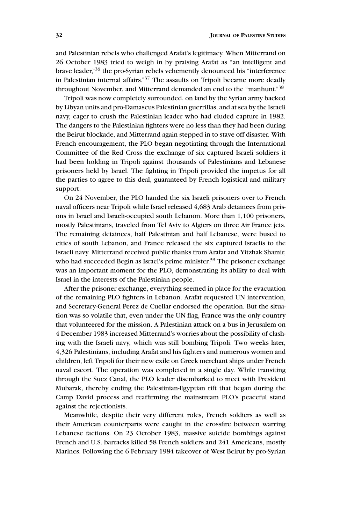and Palestinian rebels who challenged Arafat's legitimacy. When Mitterrand on 26 October 1983 tried to weigh in by praising Arafat as "an intelligent and brave leader,"36 the pro-Syrian rebels vehemently denounced his "interference in Palestinian internal affairs."37 The assaults on Tripoli became more deadly throughout November, and Mitterrand demanded an end to the "manhunt."<sup>38</sup>

Tripoli was now completely surrounded, on land by the Syrian army backed by Libyan units and pro-Damascus Palestinian guerrillas, and at sea by the Israeli navy, eager to crush the Palestinian leader who had eluded capture in 1982. The dangers to the Palestinian fighters were no less than they had been during the Beirut blockade, and Mitterrand again stepped in to stave off disaster. With French encouragement, the PLO began negotiating through the International Committee of the Red Cross the exchange of six captured Israeli soldiers it had been holding in Tripoli against thousands of Palestinians and Lebanese prisoners held by Israel. The fighting in Tripoli provided the impetus for all the parties to agree to this deal, guaranteed by French logistical and military support.

On 24 November, the PLO handed the six Israeli prisoners over to French naval officers near Tripoli while Israel released 4,683 Arab detainees from prisons in Israel and Israeli-occupied south Lebanon. More than 1,100 prisoners, mostly Palestinians, traveled from Tel Aviv to Algiers on three Air France jets. The remaining detainees, half Palestinian and half Lebanese, were bused to cities of south Lebanon, and France released the six captured Israelis to the Israeli navy. Mitterrand received public thanks from Arafat and Yitzhak Shamir, who had succeeded Begin as Israel's prime minister.<sup>39</sup> The prisoner exchange was an important moment for the PLO, demonstrating its ability to deal with Israel in the interests of the Palestinian people.

After the prisoner exchange, everything seemed in place for the evacuation of the remaining PLO fighters in Lebanon. Arafat requested UN intervention, and Secretary-General Perez de Cuellar endorsed the operation. But the situation was so volatile that, even under the UN flag, France was the only country that volunteered for the mission. A Palestinian attack on a bus in Jerusalem on 4 December 1983 increased Mitterrand's worries about the possibility of clashing with the Israeli navy, which was still bombing Tripoli. Two weeks later, 4,326 Palestinians, including Arafat and his fighters and numerous women and children, left Tripoli for their new exile on Greek merchant ships under French naval escort. The operation was completed in a single day. While transiting through the Suez Canal, the PLO leader disembarked to meet with President Mubarak, thereby ending the Palestinian-Egyptian rift that began during the Camp David process and reaffirming the mainstream PLO's peaceful stand against the rejectionists.

Meanwhile, despite their very different roles, French soldiers as well as their American counterparts were caught in the crossfire between warring Lebanese factions. On 23 October 1983, massive suicide bombings against French and U.S. barracks killed 58 French soldiers and 241 Americans, mostly Marines. Following the 6 February 1984 takeover of West Beirut by pro-Syrian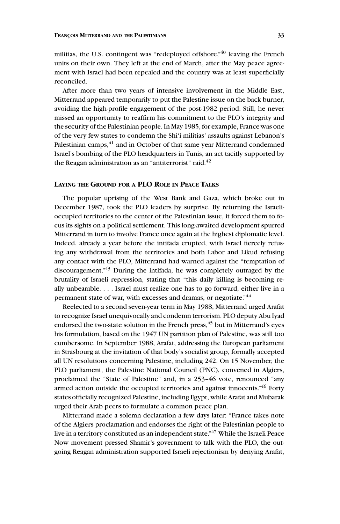militias, the U.S. contingent was "redeployed offshore,"<sup>40</sup> leaving the French units on their own. They left at the end of March, after the May peace agreement with Israel had been repealed and the country was at least superficially reconciled.

After more than two years of intensive involvement in the Middle East, Mitterrand appeared temporarily to put the Palestine issue on the back burner, avoiding the high-profile engagement of the post-1982 period. Still, he never missed an opportunity to reaffirm his commitment to the PLO's integrity and the security of the Palestinian people. In May 1985, for example, France was one of the very few states to condemn the Shi'i militias' assaults against Lebanon's Palestinian camps,  $41$  and in October of that same year Mitterrand condemned Israel's bombing of the PLO headquarters in Tunis, an act tacitly supported by the Reagan administration as an "antiterrorist" raid. $^{42}$ 

#### **LAYING THE GROUND FOR A PLO ROLE IN PEACE TALKS**

The popular uprising of the West Bank and Gaza, which broke out in December 1987, took the PLO leaders by surprise. By returning the Israelioccupied territories to the center of the Palestinian issue, it forced them to focus its sights on a political settlement. This long-awaited development spurred Mitterrand in turn to involve France once again at the highest diplomatic level. Indeed, already a year before the intifada erupted, with Israel fiercely refusing any withdrawal from the territories and both Labor and Likud refusing any contact with the PLO, Mitterrand had warned against the "temptation of discouragement.<sup> $n43$ </sup> During the intifada, he was completely outraged by the brutality of Israeli repression, stating that "this daily killing is becoming really unbearable. . . . Israel must realize one has to go forward, either live in a permanent state of war, with excesses and dramas, or negotiate.<sup>"44</sup>

Reelected to a second seven-year term in May 1988, Mitterrand urged Arafat to recognize Israel unequivocally and condemn terrorism. PLO deputy Abu Iyad endorsed the two-state solution in the French press, <sup>45</sup> but in Mitterrand's eyes his formulation, based on the 1947 UN partition plan of Palestine, was still too cumbersome. In September 1988, Arafat, addressing the European parliament in Strasbourg at the invitation of that body's socialist group, formally accepted all UN resolutions concerning Palestine, including 242. On 15 November, the PLO parliament, the Palestine National Council (PNC), convened in Algiers, proclaimed the "State of Palestine" and, in a 253–46 vote, renounced "any armed action outside the occupied territories and against innocents.<sup>"46</sup> Forty states officially recognized Palestine, including Egypt, while Arafat and Mubarak urged their Arab peers to formulate a common peace plan.

Mitterrand made a solemn declaration a few days later: "France takes note of the Algiers proclamation and endorses the right of the Palestinian people to live in a territory constituted as an independent state."<sup>47</sup> While the Israeli Peace Now movement pressed Shamir's government to talk with the PLO, the outgoing Reagan administration supported Israeli rejectionism by denying Arafat,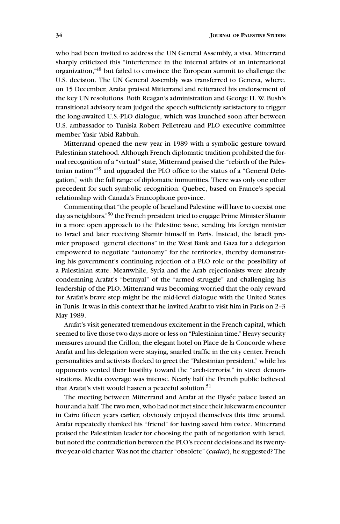who had been invited to address the UN General Assembly, a visa. Mitterrand sharply criticized this "interference in the internal affairs of an international organization,"<sup>48</sup> but failed to convince the European summit to challenge the U.S. decision. The UN General Assembly was transferred to Geneva, where, on 15 December, Arafat praised Mitterrand and reiterated his endorsement of the key UN resolutions. Both Reagan's administration and George H. W. Bush's transitional advisory team judged the speech sufficiently satisfactory to trigger the long-awaited U.S.-PLO dialogue, which was launched soon after between U.S. ambassador to Tunisia Robert Pelletreau and PLO executive committee member Yasir 'Abid Rabbuh.

Mitterrand opened the new year in 1989 with a symbolic gesture toward Palestinian statehood. Although French diplomatic tradition prohibited the formal recognition of a "virtual" state, Mitterrand praised the "rebirth of the Palestinian nation<sup> $n49$ </sup> and upgraded the PLO office to the status of a "General Delegation," with the full range of diplomatic immunities. There was only one other precedent for such symbolic recognition: Quebec, based on France's special relationship with Canada's Francophone province.

Commenting that "the people of Israel and Palestine will have to coexist one day as neighbors,"<sup>50</sup> the French president tried to engage Prime Minister Shamir in a more open approach to the Palestine issue, sending his foreign minister to Israel and later receiving Shamir himself in Paris. Instead, the Israeli premier proposed "general elections" in the West Bank and Gaza for a delegation empowered to negotiate "autonomy" for the territories, thereby demonstrating his government's continuing rejection of a PLO role or the possibility of a Palestinian state. Meanwhile, Syria and the Arab rejectionists were already condemning Arafat's "betrayal" of the "armed struggle" and challenging his leadership of the PLO. Mitterrand was becoming worried that the only reward for Arafat's brave step might be the mid-level dialogue with the United States in Tunis. It was in this context that he invited Arafat to visit him in Paris on 2–3 May 1989.

Arafat's visit generated tremendous excitement in the French capital, which seemed to live those two days more or less on "Palestinian time." Heavy security measures around the Crillon, the elegant hotel on Place de la Concorde where Arafat and his delegation were staying, snarled traffic in the city center. French personalities and activists flocked to greet the "Palestinian president," while his opponents vented their hostility toward the "arch-terrorist" in street demonstrations. Media coverage was intense. Nearly half the French public believed that Arafat's visit would hasten a peaceful solution.<sup>51</sup>

The meeting between Mitterrand and Arafat at the Elysée palace lasted an hour and a half. The two men, who had not met since their lukewarm encounter in Cairo fifteen years earlier, obviously enjoyed themselves this time around. Arafat repeatedly thanked his "friend" for having saved him twice. Mitterrand praised the Palestinian leader for choosing the path of negotiation with Israel, but noted the contradiction between the PLO's recent decisions and its twentyfive-year-old charter. Was not the charter "obsolete" (*caduc*), he suggested? The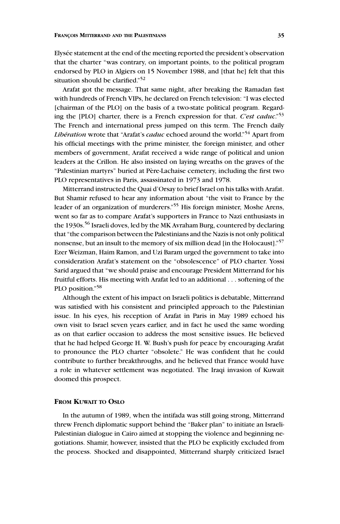Elysée statement at the end of the meeting reported the president's observation that the charter "was contrary, on important points, to the political program endorsed by PLO in Algiers on 15 November 1988, and [that he] felt that this situation should be clarified." $52$ 

Arafat got the message. That same night, after breaking the Ramadan fast with hundreds of French VIPs, he declared on French television: "I was elected [chairman of the PLO] on the basis of a two-state political program. Regarding the [PLO] charter, there is a French expression for that. *C'est caduc*."<sup>53</sup> The French and international press jumped on this term. The French daily *Lib´eration* wrote that "Arafat's *caduc* echoed around the world."<sup>54</sup> Apart from his official meetings with the prime minister, the foreign minister, and other members of government, Arafat received a wide range of political and union leaders at the Crillon. He also insisted on laying wreaths on the graves of the "Palestinian martyrs" buried at Père-Lachaise cemetery, including the first two PLO representatives in Paris, assassinated in 1973 and 1978.

Mitterrand instructed the Quai d'Orsay to brief Israel on his talks with Arafat. But Shamir refused to hear any information about "the visit to France by the leader of an organization of murderers."<sup>55</sup> His foreign minister, Moshe Arens, went so far as to compare Arafat's supporters in France to Nazi enthusiasts in the 1930s.<sup>56</sup> Israeli doves, led by the MK Avraham Burg, countered by declaring that "the comparison between the Palestinians and the Nazis is not only political nonsense, but an insult to the memory of six million dead [in the Holocaust]."57 Ezer Weizman, Haim Ramon, and Uzi Baram urged the government to take into consideration Arafat's statement on the "obsolescence" of PLO charter. Yossi Sarid argued that "we should praise and encourage President Mitterrand for his fruitful efforts. His meeting with Arafat led to an additional . . . softening of the PLO position."<sup>58</sup>

Although the extent of his impact on Israeli politics is debatable, Mitterrand was satisfied with his consistent and principled approach to the Palestinian issue. In his eyes, his reception of Arafat in Paris in May 1989 echoed his own visit to Israel seven years earlier, and in fact he used the same wording as on that earlier occasion to address the most sensitive issues. He believed that he had helped George H. W. Bush's push for peace by encouraging Arafat to pronounce the PLO charter "obsolete." He was confident that he could contribute to further breakthroughs, and he believed that France would have a role in whatever settlement was negotiated. The Iraqi invasion of Kuwait doomed this prospect.

#### **FROM KUWAIT TO OSLO**

In the autumn of 1989, when the intifada was still going strong, Mitterrand threw French diplomatic support behind the "Baker plan" to initiate an Israeli-Palestinian dialogue in Cairo aimed at stopping the violence and beginning negotiations. Shamir, however, insisted that the PLO be explicitly excluded from the process. Shocked and disappointed, Mitterrand sharply criticized Israel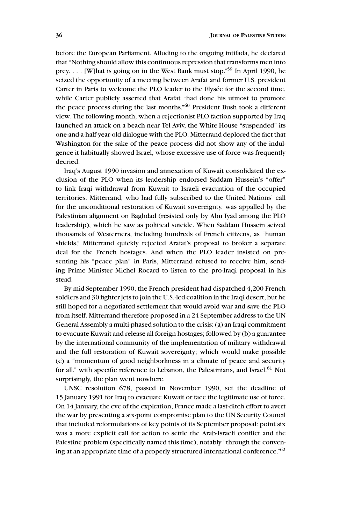before the European Parliament. Alluding to the ongoing intifada, he declared that "Nothing should allow this continuous repression that transforms men into prey. . . . [W]hat is going on in the West Bank must stop."59 In April 1990, he seized the opportunity of a meeting between Arafat and former U.S. president Carter in Paris to welcome the PLO leader to the Elysée for the second time, while Carter publicly asserted that Arafat "had done his utmost to promote the peace process during the last months."<sup>60</sup> President Bush took a different view. The following month, when a rejectionist PLO faction supported by Iraq launched an attack on a beach near Tel Aviv, the White House "suspended" its one-and-a-half-year-old dialogue with the PLO. Mitterrand deplored the fact that Washington for the sake of the peace process did not show any of the indulgence it habitually showed Israel, whose excessive use of force was frequently decried.

Iraq's August 1990 invasion and annexation of Kuwait consolidated the exclusion of the PLO when its leadership endorsed Saddam Hussein's "offer" to link Iraqi withdrawal from Kuwait to Israeli evacuation of the occupied territories. Mitterrand, who had fully subscribed to the United Nations' call for the unconditional restoration of Kuwait sovereignty, was appalled by the Palestinian alignment on Baghdad (resisted only by Abu Iyad among the PLO leadership), which he saw as political suicide. When Saddam Hussein seized thousands of Westerners, including hundreds of French citizens, as "human shields," Mitterrand quickly rejected Arafat's proposal to broker a separate deal for the French hostages. And when the PLO leader insisted on presenting his "peace plan" in Paris, Mitterrand refused to receive him, sending Prime Minister Michel Rocard to listen to the pro-Iraqi proposal in his stead.

By mid-September 1990, the French president had dispatched 4,200 French soldiers and 30 fighter jets to join the U.S.-led coalition in the Iraqi desert, but he still hoped for a negotiated settlement that would avoid war and save the PLO from itself. Mitterrand therefore proposed in a 24 September address to the UN General Assembly a multi-phased solution to the crisis: (a) an Iraqi commitment to evacuate Kuwait and release all foreign hostages; followed by (b) a guarantee by the international community of the implementation of military withdrawal and the full restoration of Kuwait sovereignty; which would make possible (c) a "momentum of good neighborliness in a climate of peace and security for all," with specific reference to Lebanon, the Palestinians, and Israel.<sup>61</sup> Not surprisingly, the plan went nowhere.

UNSC resolution 678, passed in November 1990, set the deadline of 15 January 1991 for Iraq to evacuate Kuwait or face the legitimate use of force. On 14 January, the eve of the expiration, France made a last-ditch effort to avert the war by presenting a six-point compromise plan to the UN Security Council that included reformulations of key points of its September proposal: point six was a more explicit call for action to settle the Arab-Israeli conflict and the Palestine problem (specifically named this time), notably "through the convening at an appropriate time of a properly structured international conference."<sup>62</sup>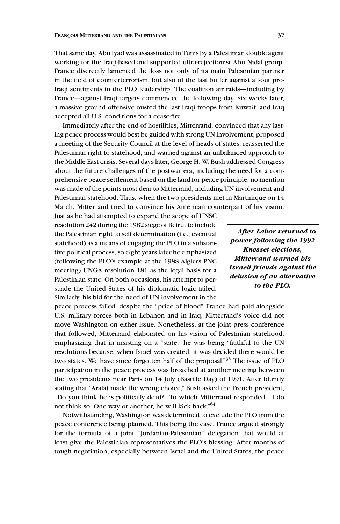That same day, Abu Iyad was assassinated in Tunis by a Palestinian double agent working for the Iraqi-based and supported ultra-rejectionist Abu Nidal group. France discreetly lamented the loss not only of its main Palestinian partner in the field of counterterrorism, but also of the last buffer against all-out pro-Iraqi sentiments in the PLO leadership. The coalition air raids—including by France—against Iraqi targets commenced the following day. Six weeks later, a massive ground offensive ousted the last Iraqi troops from Kuwait, and Iraq accepted all U.S. conditions for a cease-fire.

Immediately after the end of hostilities, Mitterrand, convinced that any lasting peace process would best be guided with strong UN involvement, proposed a meeting of the Security Council at the level of heads of states, reasserted the Palestinian right to statehood, and warned against an unbalanced approach to the Middle East crisis. Several days later, George H. W. Bush addressed Congress about the future challenges of the postwar era, including the need for a comprehensive peace settlement based on the land for peace principle; no mention was made of the points most dear to Mitterrand, including UN involvement and Palestinian statehood. Thus, when the two presidents met in Martinique on 14 March, Mitterrand tried to convince his American counterpart of his vision.

Just as he had attempted to expand the scope of UNSC resolution 242 during the 1982 siege of Beirut to include the Palestinian right to self determination (i.e., eventual statehood) as a means of engaging the PLO in a substantive political process, so eight years later he emphasized (following the PLO's example at the 1988 Algiers PNC meeting) UNGA resolution 181 as the legal basis for a Palestinian state. On both occasions, his attempt to persuade the United States of his diplomatic logic failed. Similarly, his bid for the need of UN involvement in the

peace process failed: despite the "price of blood" France had paid alongside U.S. military forces both in Lebanon and in Iraq, Mitterrand's voice did not move Washington on either issue. Nonetheless, at the joint press conference that followed, Mitterrand elaborated on his vision of Palestinian statehood, emphasizing that in insisting on a "state," he was being "faithful to the UN resolutions because, when Israel was created, it was decided there would be two states. We have since forgotten half of the proposal."<sup>63</sup> The issue of PLO participation in the peace process was broached at another meeting between the two presidents near Paris on 14 July (Bastille Day) of 1991. After bluntly stating that "Arafat made the wrong choice," Bush asked the French president, "Do you think he is politically dead?" To which Mitterrand responded, "I do not think so. One way or another, he will kick back.<sup>"64</sup>

Notwithstanding, Washington was determined to exclude the PLO from the peace conference being planned. This being the case, France argued strongly for the formula of a joint "Jordanian-Palestinian" delegation that would at least give the Palestinian representatives the PLO's blessing. After months of tough negotiation, especially between Israel and the United States, the peace

*After Labor returned to power following the 1992 Knesset elections, Mitterrand warned his Israeli friends against the delusion of an alternative to the PLO.*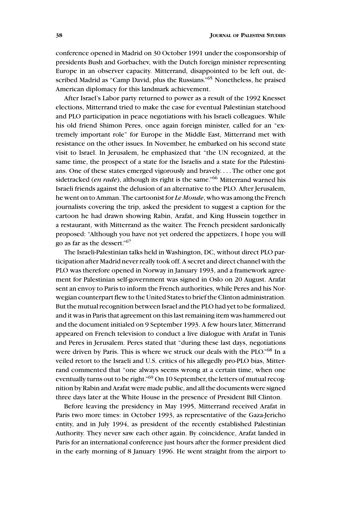conference opened in Madrid on 30 October 1991 under the cosponsorship of presidents Bush and Gorbachev, with the Dutch foreign minister representing Europe in an observer capacity. Mitterrand, disappointed to be left out, described Madrid as "Camp David, plus the Russians."65 Nonetheless, he praised American diplomacy for this landmark achievement.

After Israel's Labor party returned to power as a result of the 1992 Knesset elections, Mitterrand tried to make the case for eventual Palestinian statehood and PLO participation in peace negotiations with his Israeli colleagues. While his old friend Shimon Peres, once again foreign minister, called for an "extremely important role" for Europe in the Middle East, Mitterrand met with resistance on the other issues. In November, he embarked on his second state visit to Israel. In Jerusalem, he emphasized that "the UN recognized, at the same time, the prospect of a state for the Israelis and a state for the Palestinians. One of these states emerged vigorously and bravely. ... The other one got sidetracked (*en rade*), although its right is the same."<sup>66</sup> Mitterrand warned his Israeli friends against the delusion of an alternative to the PLO. After Jerusalem, he went on to Amman. The cartoonist for *Le Monde*, who was among the French journalists covering the trip, asked the president to suggest a caption for the cartoon he had drawn showing Rabin, Arafat, and King Hussein together in a restaurant, with Mitterrand as the waiter. The French president sardonically proposed: "Although you have not yet ordered the appetizers, I hope you will go as far as the dessert."67

The Israeli-Palestinian talks held in Washington, DC, without direct PLO participation after Madrid never really took off. A secret and direct channel with the PLO was therefore opened in Norway in January 1993, and a framework agreement for Palestinian self-government was signed in Oslo on 20 August. Arafat sent an envoy to Paris to inform the French authorities, while Peres and his Norwegian counterpart flew to the United States to brief the Clinton administration. But the mutual recognition between Israel and the PLO had yet to be formalized, and it was in Paris that agreement on this last remaining item was hammered out and the document initialed on 9 September 1993. A few hours later, Mitterrand appeared on French television to conduct a live dialogue with Arafat in Tunis and Peres in Jerusalem. Peres stated that "during these last days, negotiations were driven by Paris. This is where we struck our deals with the PLO."<sup>68</sup> In a veiled retort to the Israeli and U.S. critics of his allegedly pro-PLO bias, Mitterrand commented that "one always seems wrong at a certain time, when one eventually turns out to be right."<sup>69</sup> On 10 September, the letters of mutual recognition by Rabin and Arafat were made public, and all the documents were signed three days later at the White House in the presence of President Bill Clinton.

Before leaving the presidency in May 1995, Mitterrand received Arafat in Paris two more times: in October 1993, as representative of the Gaza-Jericho entity, and in July 1994, as president of the recently established Palestinian Authority. They never saw each other again. By coincidence, Arafat landed in Paris for an international conference just hours after the former president died in the early morning of 8 January 1996. He went straight from the airport to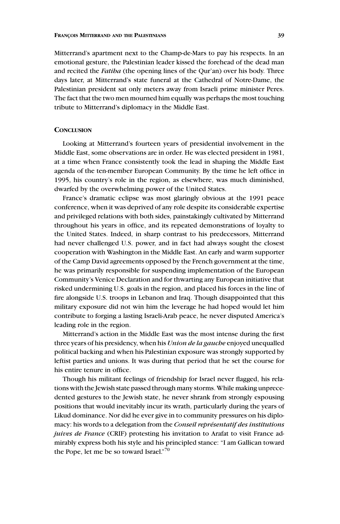Mitterrand's apartment next to the Champ-de-Mars to pay his respects. In an emotional gesture, the Palestinian leader kissed the forehead of the dead man and recited the *Fatiha* (the opening lines of the Qur'an) over his body. Three days later, at Mitterrand's state funeral at the Cathedral of Notre-Dame, the Palestinian president sat only meters away from Israeli prime minister Peres. The fact that the two men mourned him equally was perhaps the most touching tribute to Mitterrand's diplomacy in the Middle East.

#### **CONCLUSION**

Looking at Mitterrand's fourteen years of presidential involvement in the Middle East, some observations are in order. He was elected president in 1981, at a time when France consistently took the lead in shaping the Middle East agenda of the ten-member European Community. By the time he left office in 1995, his country's role in the region, as elsewhere, was much diminished, dwarfed by the overwhelming power of the United States.

France's dramatic eclipse was most glaringly obvious at the 1991 peace conference, when it was deprived of any role despite its considerable expertise and privileged relations with both sides, painstakingly cultivated by Mitterrand throughout his years in office, and its repeated demonstrations of loyalty to the United States. Indeed, in sharp contrast to his predecessors, Mitterrand had never challenged U.S. power, and in fact had always sought the closest cooperation with Washington in the Middle East. An early and warm supporter of the Camp David agreements opposed by the French government at the time, he was primarily responsible for suspending implementation of the European Community's Venice Declaration and for thwarting any European initiative that risked undermining U.S. goals in the region, and placed his forces in the line of fire alongside U.S. troops in Lebanon and Iraq. Though disappointed that this military exposure did not win him the leverage he had hoped would let him contribute to forging a lasting Israeli-Arab peace, he never disputed America's leading role in the region.

Mitterrand's action in the Middle East was the most intense during the first three years of his presidency, when his *Union de la gauche* enjoyed unequalled political backing and when his Palestinian exposure was strongly supported by leftist parties and unions. It was during that period that he set the course for his entire tenure in office.

Though his militant feelings of friendship for Israel never flagged, his relations with the Jewish state passed through many storms. While making unprecedented gestures to the Jewish state, he never shrank from strongly espousing positions that would inevitably incur its wrath, particularly during the years of Likud dominance. Nor did he ever give in to community pressures on his diplomacy: his words to a delegation from the *Conseil représentatif des institutions juives de France* (CRIF) protesting his invitation to Arafat to visit France admirably express both his style and his principled stance: "I am Gallican toward the Pope, let me be so toward Israel."<sup>70</sup>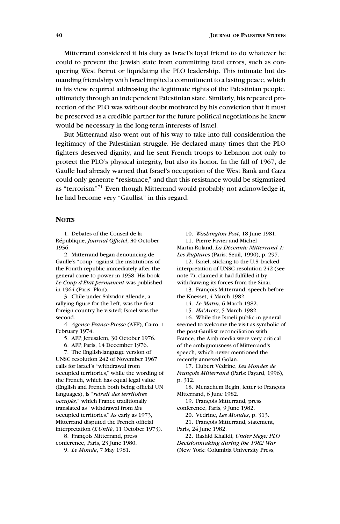Mitterrand considered it his duty as Israel's loyal friend to do whatever he could to prevent the Jewish state from committing fatal errors, such as conquering West Beirut or liquidating the PLO leadership. This intimate but demanding friendship with Israel implied a commitment to a lasting peace, which in his view required addressing the legitimate rights of the Palestinian people, ultimately through an independent Palestinian state. Similarly, his repeated protection of the PLO was without doubt motivated by his conviction that it must be preserved as a credible partner for the future political negotiations he knew would be necessary in the long-term interests of Israel.

But Mitterrand also went out of his way to take into full consideration the legitimacy of the Palestinian struggle. He declared many times that the PLO fighters deserved dignity, and he sent French troops to Lebanon not only to protect the PLO's physical integrity, but also its honor. In the fall of 1967, de Gaulle had already warned that Israel's occupation of the West Bank and Gaza could only generate "resistance," and that this resistance would be stigmatized as "terrorism."<sup>71</sup> Even though Mitterrand would probably not acknowledge it, he had become very "Gaullist" in this regard.

#### **NOTES**

1. Debates of the Conseil de la R´epublique, *Journal Officiel*, 30 October 1956.

2. Mitterrand began denouncing de Gaulle's "coup" against the institutions of the Fourth republic immediately after the general came to power in 1958. His book *Le Coup d'Etat permanent* was published in 1964 (Paris: Plon).

3. Chile under Salvador Allende, a rallying figure for the Left, was the first foreign country he visited; Israel was the second.

4. *Agence France-Presse* (AFP), Cairo, 1 February 1974.

- 5. AFP, Jerusalem, 30 October 1976.
- 6. AFP, Paris, 14 December 1976.

7. The English-language version of UNSC resolution 242 of November 1967 calls for Israel's "withdrawal from occupied territories," while the wording of the French, which has equal legal value (English and French both being official UN languages), is "*retrait des territoires occup´es,*" which France traditionally translated as "withdrawal from *the* occupied territories." As early as 1973, Mitterrand disputed the French official interpretation (*L'Unité*, 11 October 1973).

8. François Mitterrand, press conference, Paris, 23 June 1980. 9. *Le Monde*, 7 May 1981.

10. *Washington Post*, 18 June 1981. 11. Pierre Favier and Michel

Martin-Roland, *La Décennie Mitterrand 1: Les Rupture*s (Paris: Seuil, 1990), p. 297.

12. Israel, sticking to the U.S.-backed interpretation of UNSC resolution 242 (see note 7), claimed it had fulfilled it by withdrawing its forces from the Sinai.

13. François Mitterrand, speech before the Knesset, 4 March 1982.

14. *Le Matin*, 6 March 1982.

15. *Ha'Aretz*, 5 March 1982.

16. While the Israeli public in general seemed to welcome the visit as symbolic of the post-Gaullist reconciliation with France, the Arab media were very critical of the ambiguousness of Mitterrand's speech, which never mentioned the recently annexed Golan.

17. Hubert V´edrine, *Les Mondes de Franc¸ois Mitterrand* (Paris: Fayard, 1996), p. 312.

18. Menachem Begin, letter to François Mitterrand, 6 June 1982.

19. François Mitterrand, press conference, Paris, 9 June 1982.

20. Védrine, *Les Mondes*, p. 313.

21. François Mitterrand, statement, Paris, 24 June 1982.

22. Rashid Khalidi, *Under Siege: PLO Decisionmaking during the 1982 War* (New York: Columbia University Press,